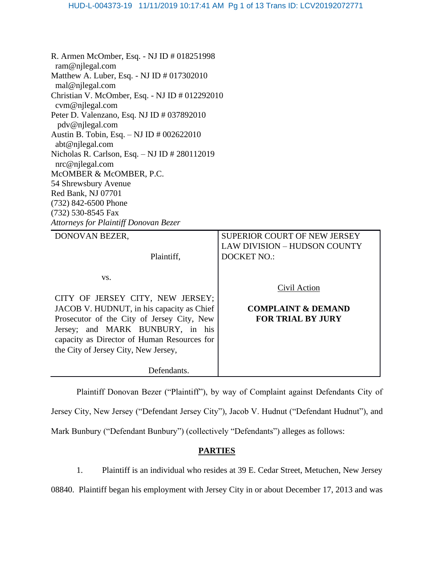| R. Armen McOmber, Esq. - NJ ID # 018251998<br>ram@njlegal.com                                                   |                                     |                                                               |  |
|-----------------------------------------------------------------------------------------------------------------|-------------------------------------|---------------------------------------------------------------|--|
| Matthew A. Luber, Esq. - NJ ID # 017302010<br>mal@njlegal.com<br>Christian V. McOmber, Esq. - NJ ID # 012292010 |                                     |                                                               |  |
|                                                                                                                 |                                     | cvm@njlegal.com                                               |  |
|                                                                                                                 |                                     | Peter D. Valenzano, Esq. NJ ID # 037892010<br>pdv@njlegal.com |  |
| Austin B. Tobin, Esq. - NJ ID # 002622010<br>abt@njlegal.com                                                    |                                     |                                                               |  |
| Nicholas R. Carlson, Esq. - NJ ID # 280112019<br>n r c @ n je gal.com                                           |                                     |                                                               |  |
| McOMBER & McOMBER, P.C.                                                                                         |                                     |                                                               |  |
| 54 Shrewsbury Avenue<br>Red Bank, NJ 07701<br>(732) 842-6500 Phone                                              |                                     |                                                               |  |
|                                                                                                                 |                                     | (732) 530-8545 Fax                                            |  |
|                                                                                                                 |                                     | <b>Attorneys for Plaintiff Donovan Bezer</b>                  |  |
| DONOVAN BEZER,                                                                                                  | SUPERIOR COURT OF NEW JERSEY        |                                                               |  |
|                                                                                                                 | <b>LAW DIVISION - HUDSON COUNTY</b> |                                                               |  |
| Plaintiff,                                                                                                      | <b>DOCKET NO.:</b>                  |                                                               |  |
|                                                                                                                 |                                     |                                                               |  |
| VS.                                                                                                             |                                     |                                                               |  |
|                                                                                                                 | Civil Action                        |                                                               |  |
| CITY OF JERSEY CITY, NEW JERSEY;                                                                                |                                     |                                                               |  |
| JACOB V. HUDNUT, in his capacity as Chief                                                                       | <b>COMPLAINT &amp; DEMAND</b>       |                                                               |  |
| Prosecutor of the City of Jersey City, New                                                                      | <b>FOR TRIAL BY JURY</b>            |                                                               |  |
| Jersey; and MARK BUNBURY, in his                                                                                |                                     |                                                               |  |
| capacity as Director of Human Resources for                                                                     |                                     |                                                               |  |
| the City of Jersey City, New Jersey,                                                                            |                                     |                                                               |  |
|                                                                                                                 |                                     |                                                               |  |
| Defendants.                                                                                                     |                                     |                                                               |  |

Plaintiff Donovan Bezer ("Plaintiff"), by way of Complaint against Defendants City of Jersey City, New Jersey ("Defendant Jersey City"), Jacob V. Hudnut ("Defendant Hudnut"), and Mark Bunbury ("Defendant Bunbury") (collectively "Defendants") alleges as follows:

# **PARTIES**

1. Plaintiff is an individual who resides at 39 E. Cedar Street, Metuchen, New Jersey 08840. Plaintiff began his employment with Jersey City in or about December 17, 2013 and was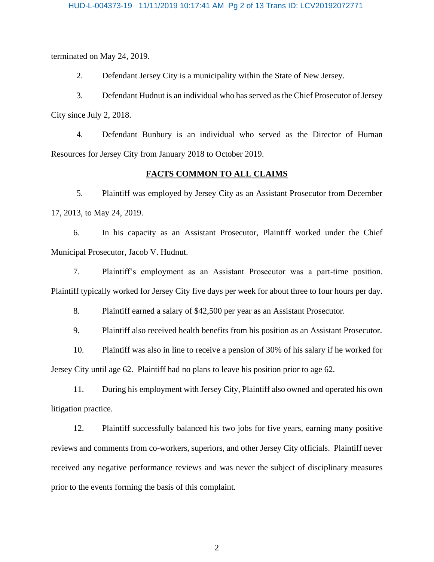terminated on May 24, 2019.

2. Defendant Jersey City is a municipality within the State of New Jersey.

3. Defendant Hudnut is an individual who has served as the Chief Prosecutor of Jersey City since July 2, 2018.

4. Defendant Bunbury is an individual who served as the Director of Human Resources for Jersey City from January 2018 to October 2019.

### **FACTS COMMON TO ALL CLAIMS**

5. Plaintiff was employed by Jersey City as an Assistant Prosecutor from December 17, 2013, to May 24, 2019.

6. In his capacity as an Assistant Prosecutor, Plaintiff worked under the Chief Municipal Prosecutor, Jacob V. Hudnut.

7. Plaintiff's employment as an Assistant Prosecutor was a part-time position. Plaintiff typically worked for Jersey City five days per week for about three to four hours per day.

8. Plaintiff earned a salary of \$42,500 per year as an Assistant Prosecutor.

9. Plaintiff also received health benefits from his position as an Assistant Prosecutor.

10. Plaintiff was also in line to receive a pension of 30% of his salary if he worked for Jersey City until age 62. Plaintiff had no plans to leave his position prior to age 62.

11. During his employment with Jersey City, Plaintiff also owned and operated his own litigation practice.

12. Plaintiff successfully balanced his two jobs for five years, earning many positive reviews and comments from co-workers, superiors, and other Jersey City officials. Plaintiff never received any negative performance reviews and was never the subject of disciplinary measures prior to the events forming the basis of this complaint.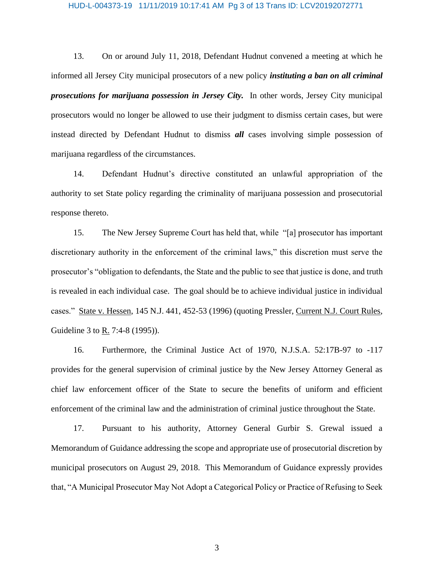#### HUD-L-004373-19 11/11/2019 10:17:41 AM Pg 3 of 13 Trans ID: LCV20192072771

13. On or around July 11, 2018, Defendant Hudnut convened a meeting at which he informed all Jersey City municipal prosecutors of a new policy *instituting a ban on all criminal prosecutions for marijuana possession in Jersey City.* In other words, Jersey City municipal prosecutors would no longer be allowed to use their judgment to dismiss certain cases, but were instead directed by Defendant Hudnut to dismiss *all* cases involving simple possession of marijuana regardless of the circumstances.

14. Defendant Hudnut's directive constituted an unlawful appropriation of the authority to set State policy regarding the criminality of marijuana possession and prosecutorial response thereto.

15. The New Jersey Supreme Court has held that, while "[a] prosecutor has important discretionary authority in the enforcement of the criminal laws," this discretion must serve the prosecutor's "obligation to defendants, the State and the public to see that justice is done, and truth is revealed in each individual case. The goal should be to achieve individual justice in individual cases." State v. Hessen, 145 N.J. 441, 452-53 (1996) (quoting Pressler, Current N.J. Court Rules, Guideline 3 to R. 7:4-8 (1995)).

16. Furthermore, the Criminal Justice Act of 1970, N.J.S.A. 52:17B-97 to -117 provides for the general supervision of criminal justice by the New Jersey Attorney General as chief law enforcement officer of the State to secure the benefits of uniform and efficient enforcement of the criminal law and the administration of criminal justice throughout the State.

17. Pursuant to his authority, Attorney General Gurbir S. Grewal issued a Memorandum of Guidance addressing the scope and appropriate use of prosecutorial discretion by municipal prosecutors on August 29, 2018. This Memorandum of Guidance expressly provides that, "A Municipal Prosecutor May Not Adopt a Categorical Policy or Practice of Refusing to Seek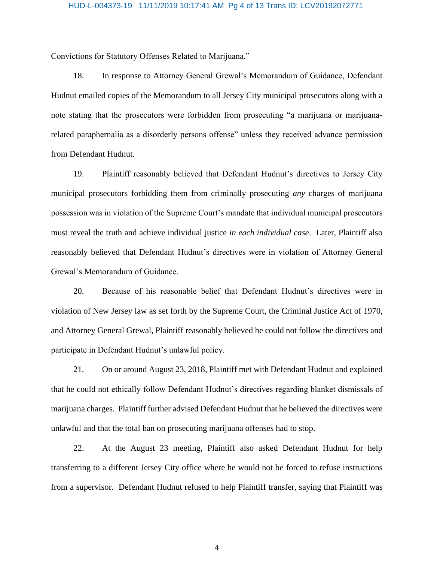#### HUD-L-004373-19 11/11/2019 10:17:41 AM Pg 4 of 13 Trans ID: LCV20192072771

Convictions for Statutory Offenses Related to Marijuana."

18. In response to Attorney General Grewal's Memorandum of Guidance, Defendant Hudnut emailed copies of the Memorandum to all Jersey City municipal prosecutors along with a note stating that the prosecutors were forbidden from prosecuting "a marijuana or marijuanarelated paraphernalia as a disorderly persons offense" unless they received advance permission from Defendant Hudnut.

19. Plaintiff reasonably believed that Defendant Hudnut's directives to Jersey City municipal prosecutors forbidding them from criminally prosecuting *any* charges of marijuana possession was in violation of the Supreme Court's mandate that individual municipal prosecutors must reveal the truth and achieve individual justice *in each individual case*. Later, Plaintiff also reasonably believed that Defendant Hudnut's directives were in violation of Attorney General Grewal's Memorandum of Guidance.

20. Because of his reasonable belief that Defendant Hudnut's directives were in violation of New Jersey law as set forth by the Supreme Court, the Criminal Justice Act of 1970, and Attorney General Grewal, Plaintiff reasonably believed he could not follow the directives and participate in Defendant Hudnut's unlawful policy.

21. On or around August 23, 2018, Plaintiff met with Defendant Hudnut and explained that he could not ethically follow Defendant Hudnut's directives regarding blanket dismissals of marijuana charges. Plaintiff further advised Defendant Hudnut that he believed the directives were unlawful and that the total ban on prosecuting marijuana offenses had to stop.

22. At the August 23 meeting, Plaintiff also asked Defendant Hudnut for help transferring to a different Jersey City office where he would not be forced to refuse instructions from a supervisor. Defendant Hudnut refused to help Plaintiff transfer, saying that Plaintiff was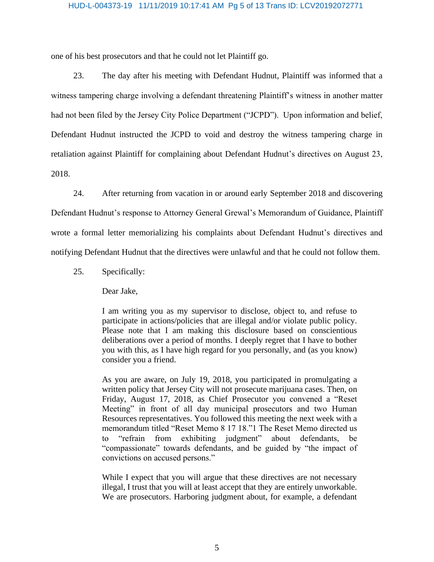## HUD-L-004373-19 11/11/2019 10:17:41 AM Pg 5 of 13 Trans ID: LCV20192072771

one of his best prosecutors and that he could not let Plaintiff go.

23. The day after his meeting with Defendant Hudnut, Plaintiff was informed that a witness tampering charge involving a defendant threatening Plaintiff's witness in another matter had not been filed by the Jersey City Police Department ("JCPD"). Upon information and belief, Defendant Hudnut instructed the JCPD to void and destroy the witness tampering charge in retaliation against Plaintiff for complaining about Defendant Hudnut's directives on August 23, 2018.

24. After returning from vacation in or around early September 2018 and discovering Defendant Hudnut's response to Attorney General Grewal's Memorandum of Guidance, Plaintiff wrote a formal letter memorializing his complaints about Defendant Hudnut's directives and notifying Defendant Hudnut that the directives were unlawful and that he could not follow them.

25. Specifically:

Dear Jake,

I am writing you as my supervisor to disclose, object to, and refuse to participate in actions/policies that are illegal and/or violate public policy. Please note that I am making this disclosure based on conscientious deliberations over a period of months. I deeply regret that I have to bother you with this, as I have high regard for you personally, and (as you know) consider you a friend.

As you are aware, on July 19, 2018, you participated in promulgating a written policy that Jersey City will not prosecute marijuana cases. Then, on Friday, August 17, 2018, as Chief Prosecutor you convened a "Reset Meeting" in front of all day municipal prosecutors and two Human Resources representatives. You followed this meeting the next week with a memorandum titled "Reset Memo 8 17 18."1 The Reset Memo directed us to "refrain from exhibiting judgment" about defendants, be "compassionate" towards defendants, and be guided by "the impact of convictions on accused persons."

While I expect that you will argue that these directives are not necessary illegal, I trust that you will at least accept that they are entirely unworkable. We are prosecutors. Harboring judgment about, for example, a defendant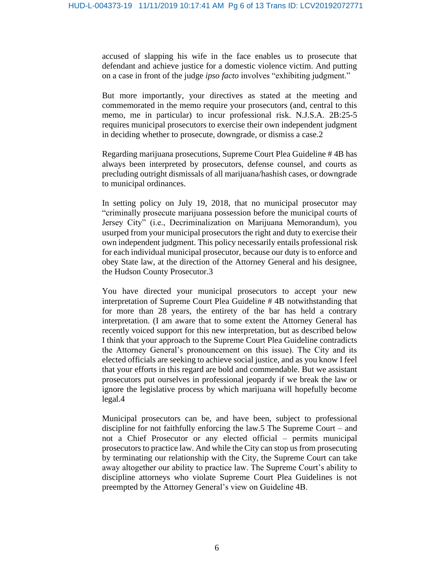accused of slapping his wife in the face enables us to prosecute that defendant and achieve justice for a domestic violence victim. And putting on a case in front of the judge *ipso facto* involves "exhibiting judgment."

But more importantly, your directives as stated at the meeting and commemorated in the memo require your prosecutors (and, central to this memo, me in particular) to incur professional risk. N.J.S.A. 2B:25-5 requires municipal prosecutors to exercise their own independent judgment in deciding whether to prosecute, downgrade, or dismiss a case.2

Regarding marijuana prosecutions, Supreme Court Plea Guideline # 4B has always been interpreted by prosecutors, defense counsel, and courts as precluding outright dismissals of all marijuana/hashish cases, or downgrade to municipal ordinances.

In setting policy on July 19, 2018, that no municipal prosecutor may "criminally prosecute marijuana possession before the municipal courts of Jersey City" (i.e., Decriminalization on Marijuana Memorandum), you usurped from your municipal prosecutors the right and duty to exercise their own independent judgment. This policy necessarily entails professional risk for each individual municipal prosecutor, because our duty is to enforce and obey State law, at the direction of the Attorney General and his designee, the Hudson County Prosecutor.3

You have directed your municipal prosecutors to accept your new interpretation of Supreme Court Plea Guideline # 4B notwithstanding that for more than 28 years, the entirety of the bar has held a contrary interpretation. (I am aware that to some extent the Attorney General has recently voiced support for this new interpretation, but as described below I think that your approach to the Supreme Court Plea Guideline contradicts the Attorney General's pronouncement on this issue). The City and its elected officials are seeking to achieve social justice, and as you know I feel that your efforts in this regard are bold and commendable. But we assistant prosecutors put ourselves in professional jeopardy if we break the law or ignore the legislative process by which marijuana will hopefully become legal.4

Municipal prosecutors can be, and have been, subject to professional discipline for not faithfully enforcing the law.5 The Supreme Court – and not a Chief Prosecutor or any elected official – permits municipal prosecutors to practice law. And while the City can stop us from prosecuting by terminating our relationship with the City, the Supreme Court can take away altogether our ability to practice law. The Supreme Court's ability to discipline attorneys who violate Supreme Court Plea Guidelines is not preempted by the Attorney General's view on Guideline 4B.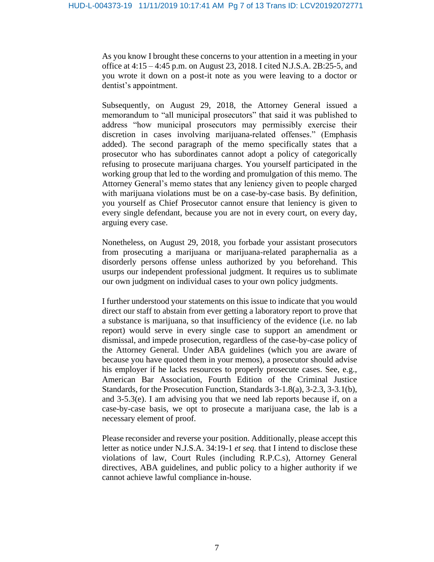As you know I brought these concerns to your attention in a meeting in your office at 4:15 – 4:45 p.m. on August 23, 2018. I cited N.J.S.A. 2B:25-5, and you wrote it down on a post-it note as you were leaving to a doctor or dentist's appointment.

Subsequently, on August 29, 2018, the Attorney General issued a memorandum to "all municipal prosecutors" that said it was published to address "how municipal prosecutors may permissibly exercise their discretion in cases involving marijuana-related offenses." (Emphasis added). The second paragraph of the memo specifically states that a prosecutor who has subordinates cannot adopt a policy of categorically refusing to prosecute marijuana charges. You yourself participated in the working group that led to the wording and promulgation of this memo. The Attorney General's memo states that any leniency given to people charged with marijuana violations must be on a case-by-case basis. By definition, you yourself as Chief Prosecutor cannot ensure that leniency is given to every single defendant, because you are not in every court, on every day, arguing every case.

Nonetheless, on August 29, 2018, you forbade your assistant prosecutors from prosecuting a marijuana or marijuana-related paraphernalia as a disorderly persons offense unless authorized by you beforehand. This usurps our independent professional judgment. It requires us to sublimate our own judgment on individual cases to your own policy judgments.

I further understood your statements on this issue to indicate that you would direct our staff to abstain from ever getting a laboratory report to prove that a substance is marijuana, so that insufficiency of the evidence (i.e. no lab report) would serve in every single case to support an amendment or dismissal, and impede prosecution, regardless of the case-by-case policy of the Attorney General. Under ABA guidelines (which you are aware of because you have quoted them in your memos), a prosecutor should advise his employer if he lacks resources to properly prosecute cases. See, e.g., American Bar Association, Fourth Edition of the Criminal Justice Standards, for the Prosecution Function, Standards 3-1.8(a), 3-2.3, 3-3.1(b), and 3-5.3(e). I am advising you that we need lab reports because if, on a case-by-case basis, we opt to prosecute a marijuana case, the lab is a necessary element of proof.

Please reconsider and reverse your position. Additionally, please accept this letter as notice under N.J.S.A. 34:19-1 *et seq.* that I intend to disclose these violations of law, Court Rules (including R.P.C.s), Attorney General directives, ABA guidelines, and public policy to a higher authority if we cannot achieve lawful compliance in-house.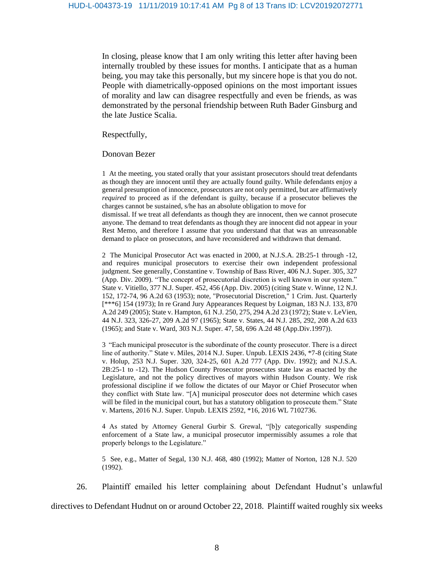In closing, please know that I am only writing this letter after having been internally troubled by these issues for months. I anticipate that as a human being, you may take this personally, but my sincere hope is that you do not. People with diametrically-opposed opinions on the most important issues of morality and law can disagree respectfully and even be friends, as was demonstrated by the personal friendship between Ruth Bader Ginsburg and the late Justice Scalia.

Respectfully,

Donovan Bezer

1 At the meeting, you stated orally that your assistant prosecutors should treat defendants as though they are innocent until they are actually found guilty. While defendants enjoy a general presumption of innocence, prosecutors are not only permitted, but are affirmatively *required* to proceed as if the defendant is guilty, because if a prosecutor believes the charges cannot be sustained, s/he has an absolute obligation to move for

dismissal. If we treat all defendants as though they are innocent, then we cannot prosecute anyone. The demand to treat defendants as though they are innocent did not appear in your Rest Memo, and therefore I assume that you understand that that was an unreasonable demand to place on prosecutors, and have reconsidered and withdrawn that demand.

2 The Municipal Prosecutor Act was enacted in 2000, at N.J.S.A. 2B:25-1 through -12, and requires municipal prosecutors to exercise their own independent professional judgment. See generally, Constantine v. Township of Bass River, 406 N.J. Super. 305, 327 (App. Div. 2009). "The concept of prosecutorial discretion is well known in our system." State v. Vitiello, 377 N.J. Super. 452, 456 (App. Div. 2005) (citing State v. Winne, 12 N.J. 152, 172-74, 96 A.2d 63 (1953); note, "Prosecutorial Discretion," 1 Crim. Just. Quarterly [\*\*\*6] 154 (1973); In re Grand Jury Appearances Request by Loigman, 183 N.J. 133, 870 A.2d 249 (2005); State v. Hampton, 61 N.J. 250, 275, 294 A.2d 23 (1972); State v. LeVien, 44 N.J. 323, 326-27, 209 A.2d 97 (1965); State v. States, 44 N.J. 285, 292, 208 A.2d 633 (1965); and State v. Ward, 303 N.J. Super. 47, 58, 696 A.2d 48 (App.Div.1997)).

3 "Each municipal prosecutor is the subordinate of the county prosecutor. There is a direct line of authority." State v. Miles, 2014 N.J. Super. Unpub. LEXIS 2436, \*7-8 (citing State v. Holup, 253 N.J. Super. 320, 324-25, 601 A.2d 777 (App. Div. 1992); and N.J.S.A. 2B:25-1 to -12). The Hudson County Prosecutor prosecutes state law as enacted by the Legislature, and not the policy directives of mayors within Hudson County. We risk professional discipline if we follow the dictates of our Mayor or Chief Prosecutor when they conflict with State law. "[A] municipal prosecutor does not determine which cases will be filed in the municipal court, but has a statutory obligation to prosecute them." State v. Martens, 2016 N.J. Super. Unpub. LEXIS 2592, \*16, 2016 WL 7102736.

4 As stated by Attorney General Gurbir S. Grewal, "[b]y categorically suspending enforcement of a State law, a municipal prosecutor impermissibly assumes a role that properly belongs to the Legislature."

5 See, e.g., Matter of Segal, 130 N.J. 468, 480 (1992); Matter of Norton, 128 N.J. 520 (1992).

26. Plaintiff emailed his letter complaining about Defendant Hudnut's unlawful

directives to Defendant Hudnut on or around October 22, 2018. Plaintiff waited roughly six weeks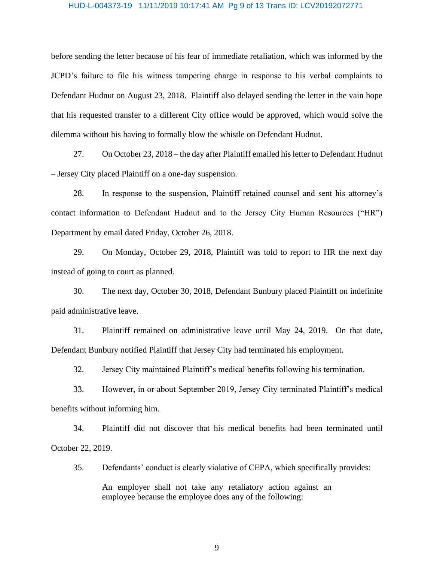#### HUD-L-004373-19 11/11/2019 10:17:41 AM Pg 9 of 13 Trans ID: LCV20192072771

before sending the letter because of his fear of immediate retaliation, which was informed by the JCPD's failure to file his witness tampering charge in response to his verbal complaints to Defendant Hudnut on August 23, 2018. Plaintiff also delayed sending the letter in the vain hope that his requested transfer to a different City office would be approved, which would solve the dilemma without his having to formally blow the whistle on Defendant Hudnut.

27. On October 23, 2018 – the day after Plaintiff emailed his letter to Defendant Hudnut – Jersey City placed Plaintiff on a one-day suspension.

28. In response to the suspension, Plaintiff retained counsel and sent his attorney's contact information to Defendant Hudnut and to the Jersey City Human Resources ("HR") Department by email dated Friday, October 26, 2018.

29. On Monday, October 29, 2018, Plaintiff was told to report to HR the next day instead of going to court as planned.

30. The next day, October 30, 2018, Defendant Bunbury placed Plaintiff on indefinite paid administrative leave.

31. Plaintiff remained on administrative leave until May 24, 2019. On that date, Defendant Bunbury notified Plaintiff that Jersey City had terminated his employment.

32. Jersey City maintained Plaintiff's medical benefits following his termination.

33. However, in or about September 2019, Jersey City terminated Plaintiff's medical benefits without informing him.

34. Plaintiff did not discover that his medical benefits had been terminated until October 22, 2019.

35. Defendants' conduct is clearly violative of CEPA, which specifically provides:

An employer shall not take any retaliatory action against an employee because the employee does any of the following: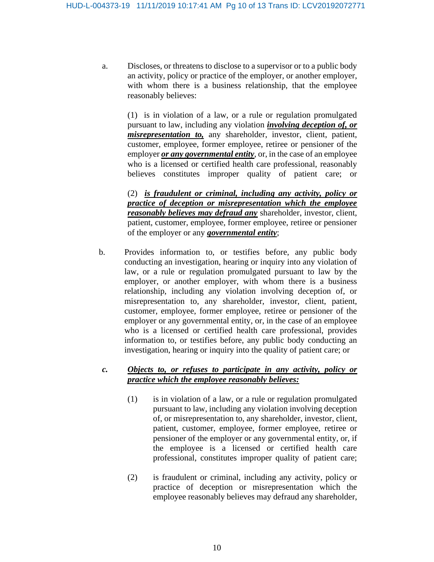a. Discloses, or threatens to disclose to a supervisor or to a public body an activity, policy or practice of the employer, or another employer, with whom there is a business relationship, that the employee reasonably believes:

(1) is in violation of a law, or a rule or regulation promulgated pursuant to law, including any violation *involving deception of, or misrepresentation to*, any shareholder, investor, client, patient, customer, employee, former employee, retiree or pensioner of the employer *or any governmental entity*, or, in the case of an employee who is a licensed or certified health care professional, reasonably believes constitutes improper quality of patient care; or

(2) *is fraudulent or criminal, including any activity, policy or practice of deception or misrepresentation which the employee reasonably believes may defraud any* shareholder, investor, client, patient, customer, employee, former employee, retiree or pensioner of the employer or any *governmental entity*;

b. Provides information to, or testifies before, any public body conducting an investigation, hearing or inquiry into any violation of law, or a rule or regulation promulgated pursuant to law by the employer, or another employer, with whom there is a business relationship, including any violation involving deception of, or misrepresentation to, any shareholder, investor, client, patient, customer, employee, former employee, retiree or pensioner of the employer or any governmental entity, or, in the case of an employee who is a licensed or certified health care professional, provides information to, or testifies before, any public body conducting an investigation, hearing or inquiry into the quality of patient care; or

# *c. Objects to, or refuses to participate in any activity, policy or practice which the employee reasonably believes:*

- (1) is in violation of a law, or a rule or regulation promulgated pursuant to law, including any violation involving deception of, or misrepresentation to, any shareholder, investor, client, patient, customer, employee, former employee, retiree or pensioner of the employer or any governmental entity, or, if the employee is a licensed or certified health care professional, constitutes improper quality of patient care;
- (2) is fraudulent or criminal, including any activity, policy or practice of deception or misrepresentation which the employee reasonably believes may defraud any shareholder,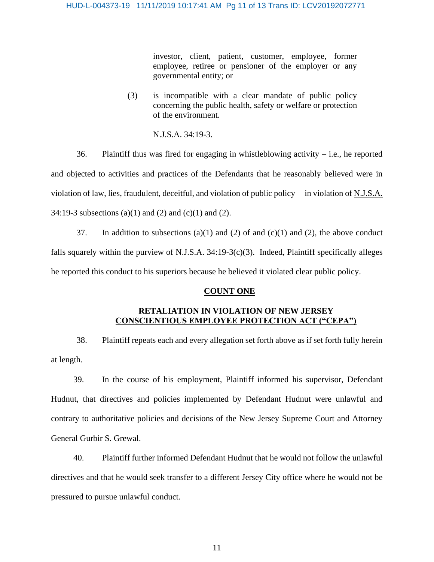investor, client, patient, customer, employee, former employee, retiree or pensioner of the employer or any governmental entity; or

(3) is incompatible with a clear mandate of public policy concerning the public health, safety or welfare or protection of the environment.

N.J.S.A. 34:19-3.

36. Plaintiff thus was fired for engaging in whistleblowing activity  $-$  i.e., he reported and objected to activities and practices of the Defendants that he reasonably believed were in violation of law, lies, fraudulent, deceitful, and violation of public policy – in violation of  $N.J.S.A.$ 34:19-3 subsections (a)(1) and (2) and (c)(1) and (2).

37. In addition to subsections (a)(1) and (2) of and (c)(1) and (2), the above conduct falls squarely within the purview of N.J.S.A. 34:19-3(c)(3). Indeed, Plaintiff specifically alleges he reported this conduct to his superiors because he believed it violated clear public policy.

# **COUNT ONE**

# **RETALIATION IN VIOLATION OF NEW JERSEY CONSCIENTIOUS EMPLOYEE PROTECTION ACT ("CEPA")**

38. Plaintiff repeats each and every allegation set forth above as if set forth fully herein at length.

39. In the course of his employment, Plaintiff informed his supervisor, Defendant Hudnut, that directives and policies implemented by Defendant Hudnut were unlawful and contrary to authoritative policies and decisions of the New Jersey Supreme Court and Attorney General Gurbir S. Grewal.

40. Plaintiff further informed Defendant Hudnut that he would not follow the unlawful directives and that he would seek transfer to a different Jersey City office where he would not be pressured to pursue unlawful conduct.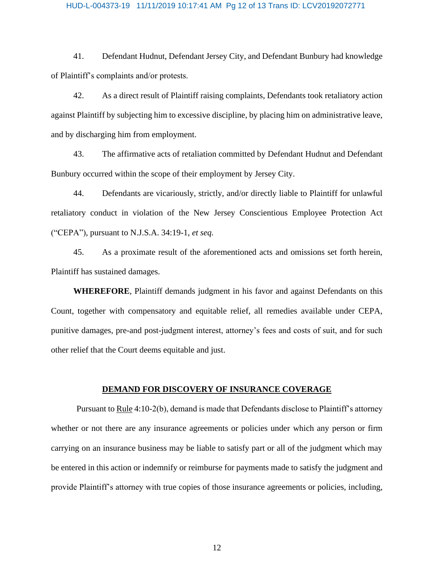#### HUD-L-004373-19 11/11/2019 10:17:41 AM Pg 12 of 13 Trans ID: LCV20192072771

41. Defendant Hudnut, Defendant Jersey City, and Defendant Bunbury had knowledge of Plaintiff's complaints and/or protests.

42. As a direct result of Plaintiff raising complaints, Defendants took retaliatory action against Plaintiff by subjecting him to excessive discipline, by placing him on administrative leave, and by discharging him from employment.

43. The affirmative acts of retaliation committed by Defendant Hudnut and Defendant Bunbury occurred within the scope of their employment by Jersey City.

44. Defendants are vicariously, strictly, and/or directly liable to Plaintiff for unlawful retaliatory conduct in violation of the New Jersey Conscientious Employee Protection Act ("CEPA"), pursuant to N.J.S.A. 34:19-1, *et seq.*

45. As a proximate result of the aforementioned acts and omissions set forth herein, Plaintiff has sustained damages.

**WHEREFORE**, Plaintiff demands judgment in his favor and against Defendants on this Count, together with compensatory and equitable relief, all remedies available under CEPA, punitive damages, pre-and post-judgment interest, attorney's fees and costs of suit, and for such other relief that the Court deems equitable and just.

### **DEMAND FOR DISCOVERY OF INSURANCE COVERAGE**

Pursuant to Rule 4:10-2(b), demand is made that Defendants disclose to Plaintiff's attorney whether or not there are any insurance agreements or policies under which any person or firm carrying on an insurance business may be liable to satisfy part or all of the judgment which may be entered in this action or indemnify or reimburse for payments made to satisfy the judgment and provide Plaintiff's attorney with true copies of those insurance agreements or policies, including,